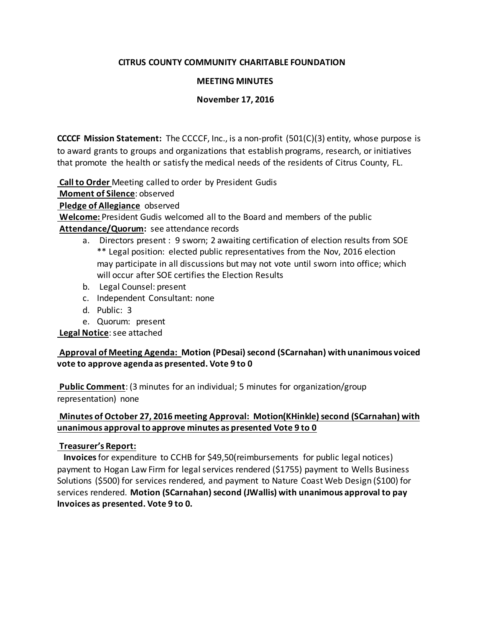### **CITRUS COUNTY COMMUNITY CHARITABLE FOUNDATION**

### **MEETING MINUTES**

### **November 17, 2016**

**CCCCF Mission Statement:** The CCCCF, Inc., is a non-profit (501(C)(3) entity, whose purpose is to award grants to groups and organizations that establish programs, research, or initiatives that promote the health or satisfy the medical needs of the residents of Citrus County, FL.

**Call to Order** Meeting called to order by President Gudis

**Moment of Silence**: observed

**Pledge of Allegiance** observed

**Welcome:** President Gudis welcomed all to the Board and members of the public

# **Attendance/Quorum:** see attendance records

- a. Directors present : 9 sworn; 2 awaiting certification of election results from SOE \*\* Legal position: elected public representatives from the Nov, 2016 election may participate in all discussions but may not vote until sworn into office; which will occur after SOE certifies the Election Results
- b. Legal Counsel: present
- c. Independent Consultant: none
- d. Public: 3
- e. Quorum: present

**Legal Notice**: see attached

# **Approval of Meeting Agenda: Motion (PDesai) second (SCarnahan) with unanimous voiced vote to approve agenda as presented. Vote 9 to 0**

**Public Comment**: (3 minutes for an individual; 5 minutes for organization/group representation) none

# **Minutes of October 27, 2016 meeting Approval: Motion(KHinkle) second (SCarnahan) with unanimous approval to approve minutes as presented Vote 9 to 0**

# **Treasurer's Report:**

 **Invoices**for expenditure to CCHB for \$49,50(reimbursements for public legal notices) payment to Hogan Law Firm for legal services rendered (\$1755) payment to Wells Business Solutions (\$500) for services rendered, and payment to Nature Coast Web Design (\$100) for services rendered. **Motion (SCarnahan) second (JWallis) with unanimous approval to pay Invoices as presented. Vote 9 to 0.**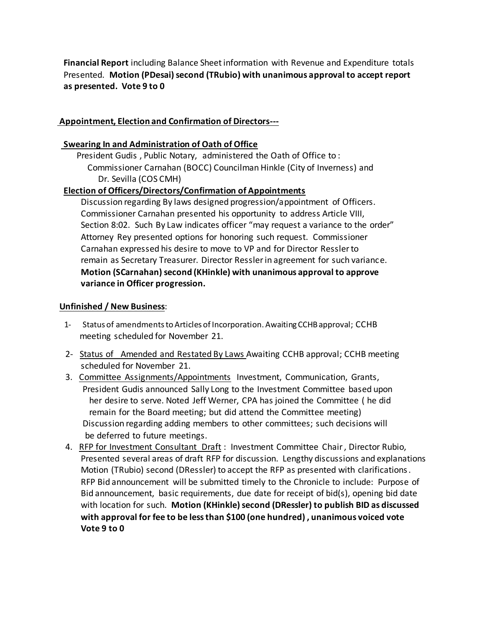**Financial Report** including Balance Sheet information with Revenue and Expenditure totals Presented. **Motion (PDesai) second (TRubio) with unanimous approval to accept report as presented. Vote 9 to 0**

# **Appointment, Election and Confirmation of Directors---**

## **Swearing In and Administration of Oath of Office**

President Gudis , Public Notary, administered the Oath of Office to :

 Commissioner Carnahan (BOCC) Councilman Hinkle (City of Inverness) and Dr. Sevilla (COS CMH)

### **Election of Officers/Directors/Confirmation of Appointments**

Discussion regarding By laws designed progression/appointment of Officers. Commissioner Carnahan presented his opportunity to address Article VIII, Section 8:02. Such By Law indicates officer "may request a variance to the order" Attorney Rey presented options for honoring such request. Commissioner Carnahan expressed his desire to move to VP and for Director Ressler to remain as Secretary Treasurer. Director Ressler in agreement for such variance. **Motion (SCarnahan) second (KHinkle) with unanimous approval to approve variance in Officer progression.** 

### **Unfinished / New Business**:

- 1- Status of amendments to Articles of Incorporation. Awaiting CCHB approval; CCHB meeting scheduled for November 21.
- 2- Status of Amended and Restated By Laws Awaiting CCHB approval; CCHB meeting scheduled for November 21.
- 3. Committee Assignments/Appointments Investment, Communication, Grants, President Gudis announced Sally Long to the Investment Committee based upon her desire to serve. Noted Jeff Werner, CPA has joined the Committee ( he did remain for the Board meeting; but did attend the Committee meeting) Discussion regarding adding members to other committees; such decisions will be deferred to future meetings.
- 4. RFP for Investment Consultant Draft: Investment Committee Chair, Director Rubio, Presented several areas of draft RFP for discussion. Lengthy discussions and explanations Motion (TRubio) second (DRessler) to accept the RFP as presented with clarifications. RFP Bid announcement will be submitted timely to the Chronicle to include: Purpose of Bid announcement, basic requirements, due date for receipt of  $bid(s)$ , opening bid date with location for such. **Motion (KHinkle) second (DRessler) to publish BID as discussed with approval for fee to be less than \$100 (one hundred) , unanimous voiced vote Vote 9 to 0**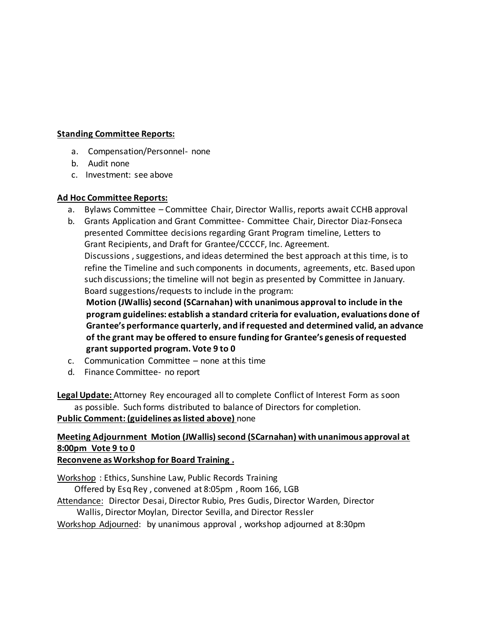#### **Standing Committee Reports:**

- a. Compensation/Personnel- none
- b. Audit none
- c. Investment: see above

#### **Ad Hoc Committee Reports:**

- a. Bylaws Committee Committee Chair, Director Wallis, reports await CCHB approval
- b. Grants Application and Grant Committee- Committee Chair, Director Diaz-Fonseca presented Committee decisions regarding Grant Program timeline, Letters to Grant Recipients, and Draft for Grantee/CCCCF, Inc. Agreement. Discussions , suggestions, and ideas determined the best approach at this time, is to refine the Timeline and such components in documents, agreements, etc. Based upon such discussions; the timeline will not begin as presented by Committee in January.

Board suggestions/requests to include in the program:

 **Motion (JWallis) second (SCarnahan) with unanimous approval to include in the program guidelines: establish a standard criteria for evaluation, evaluations done of Grantee's performance quarterly, and if requested and determined valid, an advance of the grant may be offered to ensure funding for Grantee's genesis of requested grant supported program. Vote 9 to 0**

- c. Communication Committee none at this time
- d. Finance Committee- no report

**Legal Update:** Attorney Rey encouraged all to complete Conflict of Interest Form as soon as possible. Such forms distributed to balance of Directors for completion. **Public Comment: (guidelines as listed above)** none

# **Meeting Adjournment Motion (JWallis) second (SCarnahan) with unanimous approval at 8:00pm Vote 9 to 0**

# **Reconvene as Workshop for Board Training .**

Workshop : Ethics, Sunshine Law, Public Records Training

Offered by Esq Rey , convened at 8:05pm , Room 166, LGB

Attendance: Director Desai, Director Rubio, Pres Gudis, Director Warden, Director Wallis, Director Moylan, Director Sevilla, and Director Ressler

Workshop Adjourned: by unanimous approval , workshop adjourned at 8:30pm